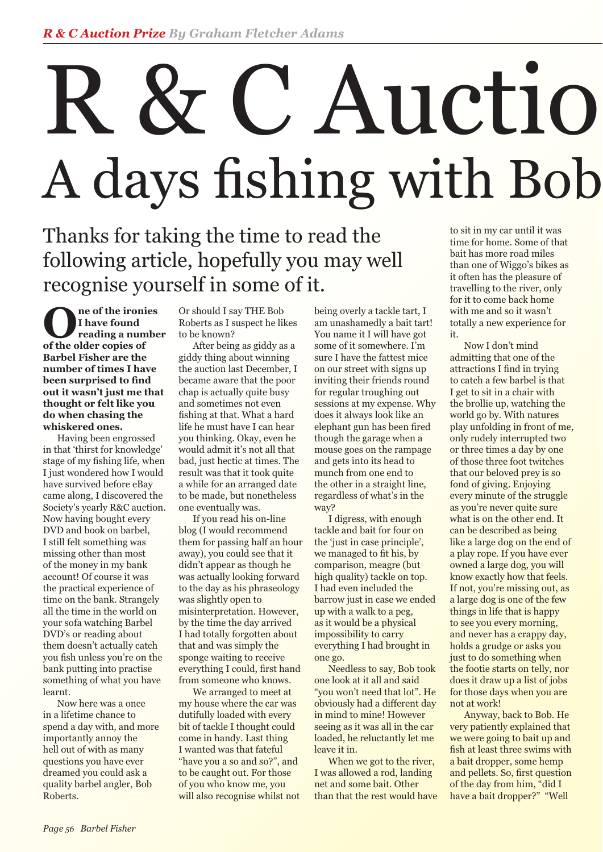# R & C Auctio A days fishing with Bob

### Thanks for taking the time to read the following article, hopefully you may well recognise yourself in some of it.

**O** ne of the ironies<br>
I have found<br>
reading a number<br>
of the older conies of **I have found of the older copies of Barbel Fisher are the number of times I have been surprised to find out it wasn't just me that thought or felt like you do when chasing the whiskered ones.**

 Having been engrossed in that 'thirst for knowledge' stage of my fishing life, when I just wondered how I would have survived before eBay came along, I discovered the Society's yearly R&C auction. Now having bought every DVD and book on barbel, I still felt something was missing other than most of the money in my bank account! Of course it was the practical experience of time on the bank. Strangely all the time in the world on your sofa watching Barbel DVD's or reading about them doesn't actually catch you fish unless you're on the bank putting into practise something of what you have learnt.

 Now here was a once in a lifetime chance to spend a day with, and more importantly annoy the hell out of with as many questions you have ever dreamed you could ask a quality barbel angler, Bob Roberts.

Or should I say THE Bob Roberts as I suspect he likes to be known?

 After being as giddy as a giddy thing about winning the auction last December, I became aware that the poor chap is actually quite busy and sometimes not even fishing at that. What a hard life he must have I can hear you thinking. Okay, even he would admit it's not all that bad, just hectic at times. The result was that it took quite a while for an arranged date to be made, but nonetheless one eventually was.

 If you read his on-line blog (I would recommend them for passing half an hour away), you could see that it didn't appear as though he was actually looking forward to the day as his phraseology was slightly open to misinterpretation. However, by the time the day arrived I had totally forgotten about that and was simply the sponge waiting to receive everything I could, first hand from someone who knows.

 We arranged to meet at my house where the car was dutifully loaded with every bit of tackle I thought could come in handy. Last thing I wanted was that fateful "have you a so and so?", and to be caught out. For those of you who know me, you will also recognise whilst not being overly a tackle tart, I am unashamedly a bait tart! You name it I will have got some of it somewhere. I'm sure I have the fattest mice on our street with signs up inviting their friends round for regular troughing out sessions at my expense. Why does it always look like an elephant gun has been fired though the garage when a mouse goes on the rampage and gets into its head to munch from one end to the other in a straight line, regardless of what's in the way?

 I digress, with enough tackle and bait for four on the 'just in case principle', we managed to fit his, by comparison, meagre (but high quality) tackle on top. I had even included the barrow just in case we ended up with a walk to a peg, as it would be a physical impossibility to carry everything I had brought in one go.

 Needless to say, Bob took one look at it all and said "you won't need that lot". He obviously had a different day in mind to mine! However seeing as it was all in the car loaded, he reluctantly let me leave it in.

 When we got to the river, I was allowed a rod, landing net and some bait. Other than that the rest would have

to sit in my car until it was time for home. Some of that bait has more road miles than one of Wiggo's bikes as it often has the pleasure of travelling to the river, only for it to come back home with me and so it wasn't totally a new experience for it.

 Now I don't mind admitting that one of the attractions I find in trying to catch a few barbel is that I get to sit in a chair with the brollie up, watching the world go by. With natures play unfolding in front of me, only rudely interrupted two or three times a day by one of those three foot twitches that our beloved prey is so fond of giving. Enjoying every minute of the struggle as you're never quite sure what is on the other end. It can be described as being like a large dog on the end of a play rope. If you have ever owned a large dog, you will know exactly how that feels. If not, you're missing out, as a large dog is one of the few things in life that is happy to see you every morning, and never has a crappy day, holds a grudge or asks you just to do something when the footie starts on telly, nor does it draw up a list of jobs for those days when you are not at work!

 Anyway, back to Bob. He very patiently explained that we were going to bait up and fish at least three swims with a bait dropper, some hemp and pellets. So, first question of the day from him, "did I have a bait dropper?" "Well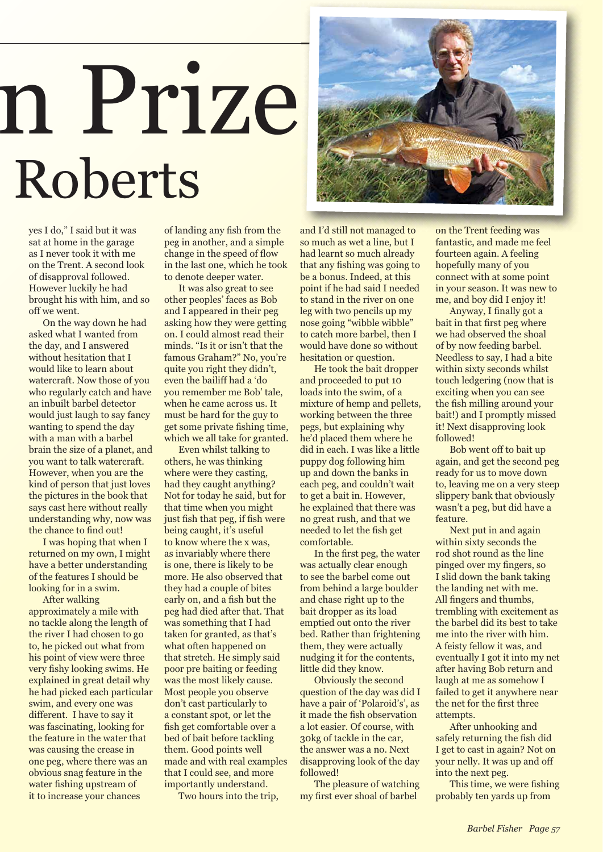## n Prize Roberts

yes I do," I said but it was sat at home in the garage as I never took it with me on the Trent. A second look of disapproval followed. However luckily he had brought his with him, and so off we went.

 On the way down he had asked what I wanted from the day, and I answered without hesitation that I would like to learn about watercraft. Now those of you who regularly catch and have an inbuilt barbel detector would just laugh to say fancy wanting to spend the day with a man with a barbel brain the size of a planet, and you want to talk watercraft. However, when you are the kind of person that just loves the pictures in the book that says cast here without really understanding why, now was the chance to find out!

 I was hoping that when I returned on my own, I might have a better understanding of the features I should be looking for in a swim.

 After walking approximately a mile with no tackle along the length of the river I had chosen to go to, he picked out what from his point of view were three very fishy looking swims. He explained in great detail why he had picked each particular swim, and every one was different. I have to say it was fascinating, looking for the feature in the water that was causing the crease in one peg, where there was an obvious snag feature in the water fishing upstream of it to increase your chances

of landing any fish from the peg in another, and a simple change in the speed of flow in the last one, which he took to denote deeper water.

 It was also great to see other peoples' faces as Bob and I appeared in their peg asking how they were getting on. I could almost read their minds. "Is it or isn't that the famous Graham?" No, you're quite you right they didn't, even the bailiff had a 'do you remember me Bob' tale, when he came across us. It must be hard for the guy to get some private fishing time, which we all take for granted.

 Even whilst talking to others, he was thinking where were they casting, had they caught anything? Not for today he said, but for that time when you might just fish that peg, if fish were being caught, it's useful to know where the x was, as invariably where there is one, there is likely to be more. He also observed that they had a couple of bites early on, and a fish but the peg had died after that. That was something that I had taken for granted, as that's what often happened on that stretch. He simply said poor pre baiting or feeding was the most likely cause. Most people you observe don't cast particularly to a constant spot, or let the fish get comfortable over a bed of bait before tackling them. Good points well made and with real examples that I could see, and more importantly understand.

Two hours into the trip,



and I'd still not managed to so much as wet a line, but I had learnt so much already that any fishing was going to be a bonus. Indeed, at this point if he had said I needed to stand in the river on one leg with two pencils up my nose going "wibble wibble" to catch more barbel, then I would have done so without hesitation or question.

 He took the bait dropper and proceeded to put 10 loads into the swim, of a mixture of hemp and pellets, working between the three pegs, but explaining why he'd placed them where he did in each. I was like a little puppy dog following him up and down the banks in each peg, and couldn't wait to get a bait in. However, he explained that there was no great rush, and that we needed to let the fish get comfortable.

In the first peg, the water was actually clear enough to see the barbel come out from behind a large boulder and chase right up to the bait dropper as its load emptied out onto the river bed. Rather than frightening them, they were actually nudging it for the contents, little did they know.

 Obviously the second question of the day was did I have a pair of 'Polaroid's', as it made the fish observation a lot easier. Of course, with 30kg of tackle in the car, the answer was a no. Next disapproving look of the day followed!

 The pleasure of watching my first ever shoal of barbel

managed to on the Trent feeding was fantastic, and made me feel fourteen again. A feeling hopefully many of you connect with at some point in your season. It was new to me, and boy did I enjoy it!

> Anyway, I finally got a bait in that first peg where we had observed the shoal of by now feeding barbel. Needless to say, I had a bite within sixty seconds whilst touch ledgering (now that is exciting when you can see the fish milling around your bait!) and I promptly missed it! Next disapproving look followed!

 Bob went off to bait up again, and get the second peg ready for us to move down to, leaving me on a very steep slippery bank that obviously wasn't a peg, but did have a feature.

 Next put in and again within sixty seconds the rod shot round as the line pinged over my fingers, so I slid down the bank taking the landing net with me. All fingers and thumbs. trembling with excitement as the barbel did its best to take me into the river with him. A feisty fellow it was, and eventually I got it into my net after having Bob return and laugh at me as somehow I failed to get it anywhere near the net for the first three attempts.

 After unhooking and safely returning the fish did I get to cast in again? Not on your nelly. It was up and off into the next peg.

This time, we were fishing probably ten yards up from